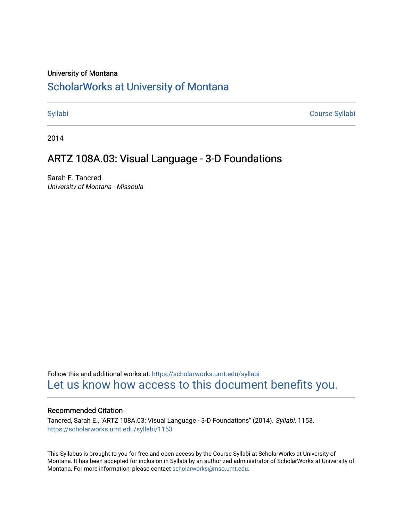#### University of Montana

# [ScholarWorks at University of Montana](https://scholarworks.umt.edu/)

[Syllabi](https://scholarworks.umt.edu/syllabi) [Course Syllabi](https://scholarworks.umt.edu/course_syllabi) 

2014

## ARTZ 108A.03: Visual Language - 3-D Foundations

Sarah E. Tancred University of Montana - Missoula

Follow this and additional works at: [https://scholarworks.umt.edu/syllabi](https://scholarworks.umt.edu/syllabi?utm_source=scholarworks.umt.edu%2Fsyllabi%2F1153&utm_medium=PDF&utm_campaign=PDFCoverPages)  [Let us know how access to this document benefits you.](https://goo.gl/forms/s2rGfXOLzz71qgsB2) 

#### Recommended Citation

Tancred, Sarah E., "ARTZ 108A.03: Visual Language - 3-D Foundations" (2014). Syllabi. 1153. [https://scholarworks.umt.edu/syllabi/1153](https://scholarworks.umt.edu/syllabi/1153?utm_source=scholarworks.umt.edu%2Fsyllabi%2F1153&utm_medium=PDF&utm_campaign=PDFCoverPages)

This Syllabus is brought to you for free and open access by the Course Syllabi at ScholarWorks at University of Montana. It has been accepted for inclusion in Syllabi by an authorized administrator of ScholarWorks at University of Montana. For more information, please contact [scholarworks@mso.umt.edu.](mailto:scholarworks@mso.umt.edu)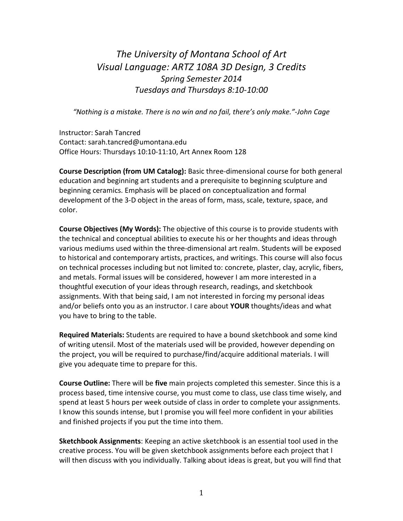# *The University of Montana School of Art Visual Language: ARTZ 108A 3D Design, 3 Credits Spring Semester 2014 Tuesdays and Thursdays 8:10-10:00*

*"Nothing is a mistake. There is no win and no fail, there's only make."-John Cage*

Instructor: Sarah Tancred Contact: sarah.tancred@umontana.edu Office Hours: Thursdays 10:10-11:10, Art Annex Room 128

**Course Description (from UM Catalog):** Basic three-dimensional course for both general education and beginning art students and a prerequisite to beginning sculpture and beginning ceramics. Emphasis will be placed on conceptualization and formal development of the 3-D object in the areas of form, mass, scale, texture, space, and color.

**Course Objectives (My Words):** The objective of this course is to provide students with the technical and conceptual abilities to execute his or her thoughts and ideas through various mediums used within the three-dimensional art realm. Students will be exposed to historical and contemporary artists, practices, and writings. This course will also focus on technical processes including but not limited to: concrete, plaster, clay, acrylic, fibers, and metals. Formal issues will be considered, however I am more interested in a thoughtful execution of your ideas through research, readings, and sketchbook assignments. With that being said, I am not interested in forcing my personal ideas and/or beliefs onto you as an instructor. I care about **YOUR** thoughts/ideas and what you have to bring to the table.

**Required Materials:** Students are required to have a bound sketchbook and some kind of writing utensil. Most of the materials used will be provided, however depending on the project, you will be required to purchase/find/acquire additional materials. I will give you adequate time to prepare for this.

**Course Outline:** There will be **five** main projects completed this semester. Since this is a process based, time intensive course, you must come to class, use class time wisely, and spend at least 5 hours per week outside of class in order to complete your assignments. I know this sounds intense, but I promise you will feel more confident in your abilities and finished projects if you put the time into them.

**Sketchbook Assignments**: Keeping an active sketchbook is an essential tool used in the creative process. You will be given sketchbook assignments before each project that I will then discuss with you individually. Talking about ideas is great, but you will find that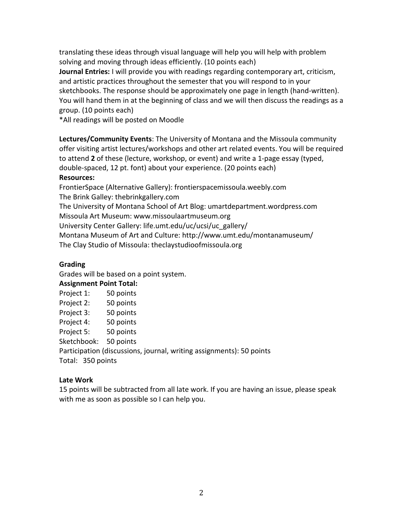translating these ideas through visual language will help you will help with problem solving and moving through ideas efficiently. (10 points each)

**Journal Entries:** I will provide you with readings regarding contemporary art, criticism, and artistic practices throughout the semester that you will respond to in your sketchbooks. The response should be approximately one page in length (hand-written). You will hand them in at the beginning of class and we will then discuss the readings as a group. (10 points each)

\*All readings will be posted on Moodle

**Lectures/Community Events**: The University of Montana and the Missoula community offer visiting artist lectures/workshops and other art related events. You will be required to attend **2** of these (lecture, workshop, or event) and write a 1-page essay (typed, double-spaced, 12 pt. font) about your experience. (20 points each) **Resources:**

FrontierSpace (Alternative Gallery): frontierspacemissoula.weebly.com The Brink Galley: thebrinkgallery.com The University of Montana School of Art Blog: umartdepartment.wordpress.com Missoula Art Museum: www.missoulaartmuseum.org University Center Gallery: life.umt.edu/uc/ucsi/uc\_gallery/

Montana Museum of Art and Culture: http://www.umt.edu/montanamuseum/

The Clay Studio of Missoula: theclaystudioofmissoula.org

## **Grading**

Grades will be based on a point system.

#### **Assignment Point Total:**

| Project 1:      | 50 points                      |
|-----------------|--------------------------------|
| $D = 1 - 1 - 2$ | $\Gamma$ $\Omega$ is a finite. |

|               | Project 2: | 50 points |
|---------------|------------|-----------|
| $\sim$ $\sim$ |            |           |

Project 3: 50 points

Project 4: 50 points

Project 5: 50 points

Sketchbook: 50 points

Participation (discussions, journal, writing assignments): 50 points Total: 350 points

#### **Late Work**

15 points will be subtracted from all late work. If you are having an issue, please speak with me as soon as possible so I can help you.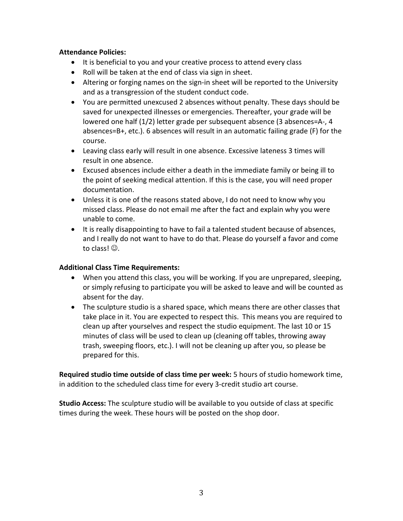#### **Attendance Policies:**

- It is beneficial to you and your creative process to attend every class
- Roll will be taken at the end of class via sign in sheet.
- Altering or forging names on the sign-in sheet will be reported to the University and as a transgression of the student conduct code.
- You are permitted unexcused 2 absences without penalty. These days should be saved for unexpected illnesses or emergencies. Thereafter, your grade will be lowered one half (1/2) letter grade per subsequent absence (3 absences=A-, 4 absences=B+, etc.). 6 absences will result in an automatic failing grade (F) for the course.
- Leaving class early will result in one absence. Excessive lateness 3 times will result in one absence.
- Excused absences include either a death in the immediate family or being ill to the point of seeking medical attention. If this is the case, you will need proper documentation.
- Unless it is one of the reasons stated above, I do not need to know why you missed class. Please do not email me after the fact and explain why you were unable to come.
- It is really disappointing to have to fail a talented student because of absences, and I really do not want to have to do that. Please do yourself a favor and come to class!  $\odot$ .

## **Additional Class Time Requirements:**

- When you attend this class, you will be working. If you are unprepared, sleeping, or simply refusing to participate you will be asked to leave and will be counted as absent for the day.
- The sculpture studio is a shared space, which means there are other classes that take place in it. You are expected to respect this. This means you are required to clean up after yourselves and respect the studio equipment. The last 10 or 15 minutes of class will be used to clean up (cleaning off tables, throwing away trash, sweeping floors, etc.). I will not be cleaning up after you, so please be prepared for this.

**Required studio time outside of class time per week:** 5 hours of studio homework time, in addition to the scheduled class time for every 3-credit studio art course.

**Studio Access:** The sculpture studio will be available to you outside of class at specific times during the week. These hours will be posted on the shop door.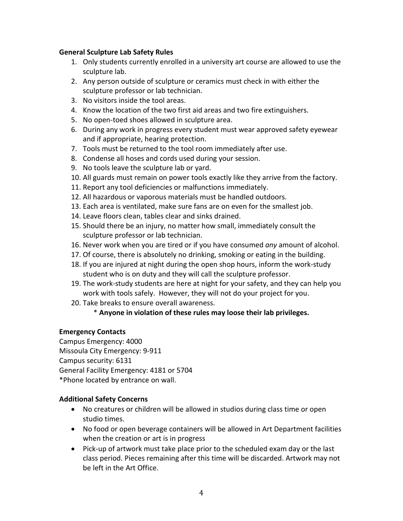#### **General Sculpture Lab Safety Rules**

- 1. Only students currently enrolled in a university art course are allowed to use the sculpture lab.
- 2. Any person outside of sculpture or ceramics must check in with either the sculpture professor or lab technician.
- 3. No visitors inside the tool areas.
- 4. Know the location of the two first aid areas and two fire extinguishers.
- 5. No open-toed shoes allowed in sculpture area.
- 6. During any work in progress every student must wear approved safety eyewear and if appropriate, hearing protection.
- 7. Tools must be returned to the tool room immediately after use.
- 8. Condense all hoses and cords used during your session.
- 9. No tools leave the sculpture lab or yard.
- 10. All guards must remain on power tools exactly like they arrive from the factory.
- 11. Report any tool deficiencies or malfunctions immediately.
- 12. All hazardous or vaporous materials must be handled outdoors.
- 13. Each area is ventilated, make sure fans are on even for the smallest job.
- 14. Leave floors clean, tables clear and sinks drained.
- 15. Should there be an injury, no matter how small, immediately consult the sculpture professor or lab technician.
- 16. Never work when you are tired or if you have consumed *any* amount of alcohol.
- 17. Of course, there is absolutely no drinking, smoking or eating in the building.
- 18. If you are injured at night during the open shop hours, inform the work-study student who is on duty and they will call the sculpture professor.
- 19. The work-study students are here at night for your safety, and they can help you work with tools safely. However, they will not do your project for you.
- 20. Take breaks to ensure overall awareness.

## \* **Anyone in violation of these rules may loose their lab privileges.**

#### **Emergency Contacts**

Campus Emergency: 4000 Missoula City Emergency: 9-911 Campus security: 6131 General Facility Emergency: 4181 or 5704 \*Phone located by entrance on wall.

#### **Additional Safety Concerns**

- No creatures or children will be allowed in studios during class time or open studio times.
- No food or open beverage containers will be allowed in Art Department facilities when the creation or art is in progress
- Pick-up of artwork must take place prior to the scheduled exam day or the last class period. Pieces remaining after this time will be discarded. Artwork may not be left in the Art Office.